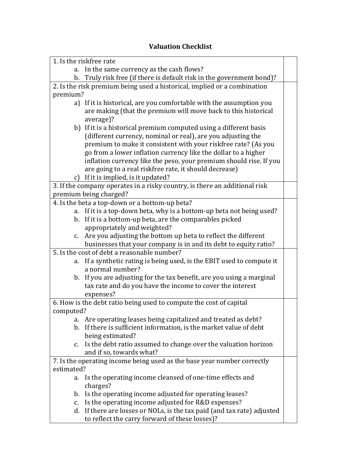## **Valuation Checklist**

| 1. Is the riskfree rate |                                                                            |  |
|-------------------------|----------------------------------------------------------------------------|--|
| a.                      | In the same currency as the cash flows?                                    |  |
| b.                      | Truly risk free (if there is default risk in the government bond)?         |  |
|                         | 2. Is the risk premium being used a historical, implied or a combination   |  |
| premium?                |                                                                            |  |
|                         | a) If it is historical, are you comfortable with the assumption you        |  |
|                         | are making (that the premium will move back to this historical             |  |
|                         | average)?                                                                  |  |
|                         | b) If it is a historical premium computed using a different basis          |  |
|                         | (different currency, nominal or real), are you adjusting the               |  |
|                         | premium to make it consistent with your riskfree rate? (As you             |  |
|                         | go from a lower inflation currency like the dollar to a higher             |  |
|                         | inflation currency like the peso, your premium should rise. If you         |  |
|                         | are going to a real riskfree rate, it should decrease)                     |  |
|                         | c) If it is implied, is it updated?                                        |  |
|                         | 3. If the company operates in a risky country, is there an additional risk |  |
|                         | premium being charged?                                                     |  |
|                         | 4. Is the beta a top-down or a bottom-up beta?                             |  |
| a.                      | If it is a top-down beta, why is a bottom-up beta not being used?          |  |
|                         | b. If it is a bottom-up beta, are the comparables picked                   |  |
|                         | appropriately and weighted?                                                |  |
| c.                      | Are you adjusting the bottom up beta to reflect the different              |  |
|                         | businesses that your company is in and its debt to equity ratio?           |  |
|                         | 5. Is the cost of debt a reasonable number?                                |  |
| a.                      | If a synthetic rating is being used, is the EBIT used to compute it        |  |
|                         | a normal number?                                                           |  |
|                         | b. If you are adjusting for the tax benefit, are you using a marginal      |  |
|                         | tax rate and do you have the income to cover the interest                  |  |
|                         | expenses?                                                                  |  |
|                         | 6. How is the debt ratio being used to compute the cost of capital         |  |
| computed?               |                                                                            |  |
|                         | a. Are operating leases being capitalized and treated as debt?             |  |
|                         | b. If there is sufficient information, is the market value of debt         |  |
|                         | being estimated?                                                           |  |
| $C_{\bullet}$           | Is the debt ratio assumed to change over the valuation horizon             |  |
|                         | and if so, towards what?                                                   |  |
|                         | 7. Is the operating income being used as the base year number correctly    |  |
| estimated?              |                                                                            |  |
|                         | a. Is the operating income cleansed of one-time effects and                |  |
|                         | charges?                                                                   |  |
|                         | b. Is the operating income adjusted for operating leases?                  |  |
| c.                      | Is the operating income adjusted for R&D expenses?                         |  |
|                         | d. If there are losses or NOLs, is the tax paid (and tax rate) adjusted    |  |
|                         | to reflect the carry forward of these losses)?                             |  |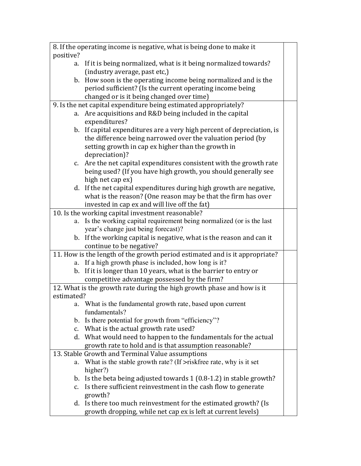| 8. If the operating income is negative, what is being done to make it |                                                                                                                                       |  |  |
|-----------------------------------------------------------------------|---------------------------------------------------------------------------------------------------------------------------------------|--|--|
| positive?                                                             |                                                                                                                                       |  |  |
| a.                                                                    | If it is being normalized, what is it being normalized towards?                                                                       |  |  |
|                                                                       | (industry average, past etc,)                                                                                                         |  |  |
|                                                                       | b. How soon is the operating income being normalized and is the                                                                       |  |  |
|                                                                       | period sufficient? (Is the current operating income being                                                                             |  |  |
|                                                                       | changed or is it being changed over time)                                                                                             |  |  |
|                                                                       | 9. Is the net capital expenditure being estimated appropriately?                                                                      |  |  |
| a.                                                                    | Are acquisitions and R&D being included in the capital                                                                                |  |  |
|                                                                       | expenditures?                                                                                                                         |  |  |
|                                                                       | b. If capital expenditures are a very high percent of depreciation, is<br>the difference being narrowed over the valuation period (by |  |  |
|                                                                       | setting growth in cap ex higher than the growth in                                                                                    |  |  |
|                                                                       | depreciation)?                                                                                                                        |  |  |
| c.                                                                    | Are the net capital expenditures consistent with the growth rate                                                                      |  |  |
|                                                                       | being used? (If you have high growth, you should generally see                                                                        |  |  |
|                                                                       | high net cap ex)                                                                                                                      |  |  |
|                                                                       | d. If the net capital expenditures during high growth are negative,                                                                   |  |  |
|                                                                       | what is the reason? (One reason may be that the firm has over                                                                         |  |  |
|                                                                       | invested in cap ex and will live off the fat)                                                                                         |  |  |
|                                                                       | 10. Is the working capital investment reasonable?                                                                                     |  |  |
| a.                                                                    | Is the working capital requirement being normalized (or is the last                                                                   |  |  |
|                                                                       | year's change just being forecast)?                                                                                                   |  |  |
|                                                                       | b. If the working capital is negative, what is the reason and can it                                                                  |  |  |
|                                                                       | continue to be negative?                                                                                                              |  |  |
|                                                                       | 11. How is the length of the growth period estimated and is it appropriate?                                                           |  |  |
| a.                                                                    | If a high growth phase is included, how long is it?                                                                                   |  |  |
| $\mathbf{b}$ .                                                        | If it is longer than 10 years, what is the barrier to entry or                                                                        |  |  |
|                                                                       | competitive advantage possessed by the firm?                                                                                          |  |  |
|                                                                       | 12. What is the growth rate during the high growth phase and how is it                                                                |  |  |
| estimated?                                                            |                                                                                                                                       |  |  |
|                                                                       | a. What is the fundamental growth rate, based upon current                                                                            |  |  |
|                                                                       | fundamentals?                                                                                                                         |  |  |
|                                                                       | b. Is there potential for growth from "efficiency"?                                                                                   |  |  |
| c.                                                                    | What is the actual growth rate used?                                                                                                  |  |  |
|                                                                       | d. What would need to happen to the fundamentals for the actual                                                                       |  |  |
|                                                                       | growth rate to hold and is that assumption reasonable?                                                                                |  |  |
|                                                                       | 13. Stable Growth and Terminal Value assumptions                                                                                      |  |  |
| a.                                                                    | What is the stable growth rate? (If $>$ riskfree rate, why is it set<br>higher?)                                                      |  |  |
|                                                                       | b. Is the beta being adjusted towards $1(0.8-1.2)$ in stable growth?                                                                  |  |  |
| c.                                                                    | Is there sufficient reinvestment in the cash flow to generate                                                                         |  |  |
|                                                                       | growth?                                                                                                                               |  |  |
|                                                                       | d. Is there too much reinvestment for the estimated growth? (Is                                                                       |  |  |
|                                                                       | growth dropping, while net cap ex is left at current levels)                                                                          |  |  |
|                                                                       |                                                                                                                                       |  |  |